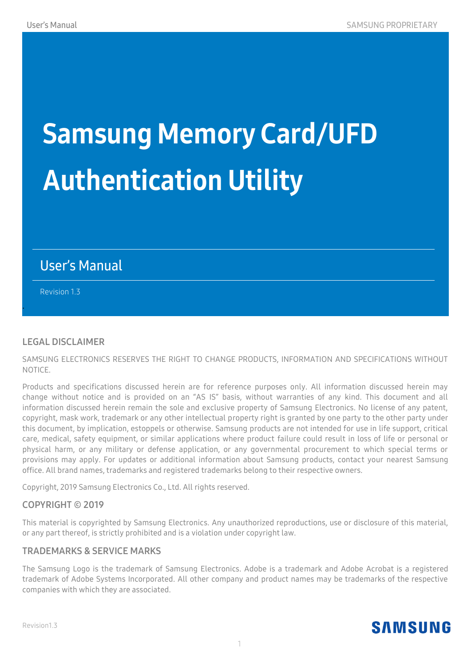# Samsung Memory Card/UFD Authentication Utility

#### User's Manual

Revision 1.3

.

#### **LEGAL DISCLAIMER**

SAMSUNG ELECTRONICS RESERVES THE RIGHT TO CHANGE PRODUCTS, INFORMATION AND SPECIFICATIONS WITHOUT NOTICE.

Products and specifications discussed herein are for reference purposes only. All information discussed herein may change without notice and is provided on an "AS IS" basis, without warranties of any kind. This document and all information discussed herein remain the sole and exclusive property of Samsung Electronics. No license of any patent, copyright, mask work, trademark or any other intellectual property right is granted by one party to the other party under this document, by implication, estoppels or otherwise. Samsung products are not intended for use in life support, critical care, medical, safety equipment, or similar applications where product failure could result in loss of life or personal or physical harm, or any military or defense application, or any governmental procurement to which special terms or provisions may apply. For updates or additional information about Samsung products, contact your nearest Samsung office. All brand names, trademarks and registered trademarks belong to their respective owners.

Copyright, 2019 Samsung Electronics Co., Ltd. All rights reserved.

#### **COPYRIGHT © 2019**

This material is copyrighted by Samsung Electronics. Any unauthorized reproductions, use or disclosure of this material, or any part thereof, is strictly prohibited and is a violation under copyright law.

#### **TRADEMARKS & SERVICE MARKS**

The Samsung Logo is the trademark of Samsung Electronics. Adobe is a trademark and Adobe Acrobat is a registered trademark of Adobe Systems Incorporated. All other company and product names may be trademarks of the respective companies with which they are associated.



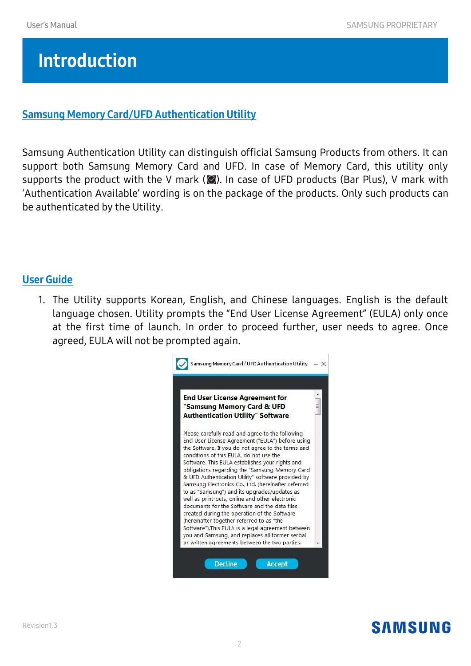# Introduction

#### Samsung Memory Card/UFD Authentication Utility

Samsung Authentication Utility can distinguish official Samsung Products from others. It can support both Samsung Memory Card and UFD. In case of Memory Card, this utility only supports the product with the V mark ( $\bullet$ ). In case of UFD products (Bar Plus), V mark with 'Authentication Available' wording is on the package of the products. Only such products can be authenticated by the Utility.

#### User Guide

1. The Utility supports Korean, English, and Chinese languages. English is the default language chosen. Utility prompts the "End User License Agreement" (EULA) only once at the first time of launch. In order to proceed further, user needs to agree. Once agreed, EULA will not be prompted again.



## **SAMSUNG**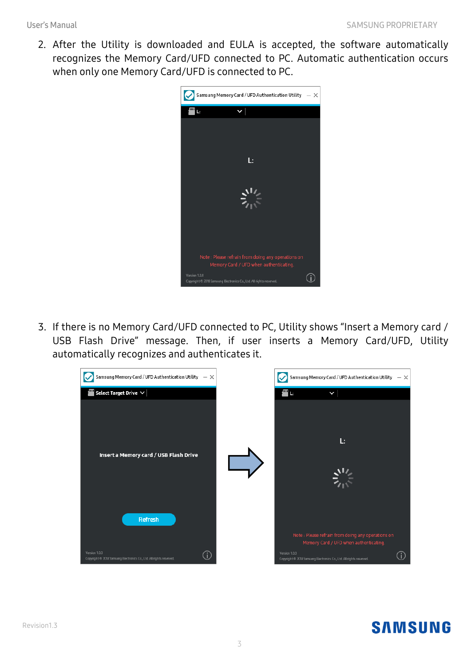2. After the Utility is downloaded and EULA is accepted, the software automatically recognizes the Memory Card/UFD connected to PC. Automatic authentication occurs when only one Memory Card/UFD is connected to PC.



3. If there is no Memory Card/UFD connected to PC, Utility shows "Insert a Memory card / USB Flash Drive" message. Then, if user inserts a Memory Card/UFD, Utility automatically recognizes and authenticates it.



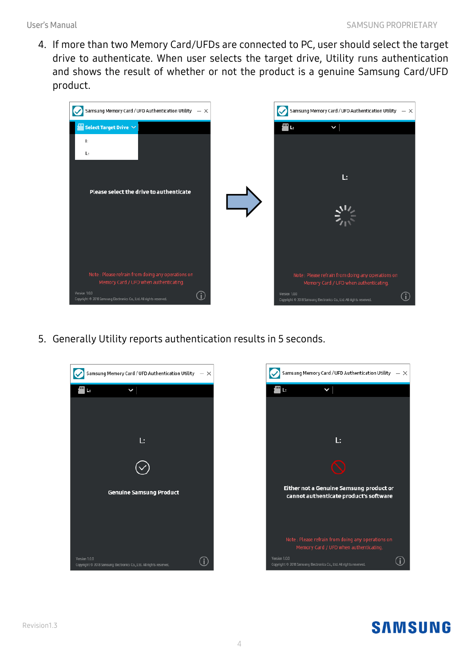4. If more than two Memory Card/UFDs are connected to PC, user should select the target drive to authenticate. When user selects the target drive, Utility runs authentication and shows the result of whether or not the product is a genuine Samsung Card/UFD product.



5. Generally Utility reports authentication results in 5 seconds.





## **SAMSUNG**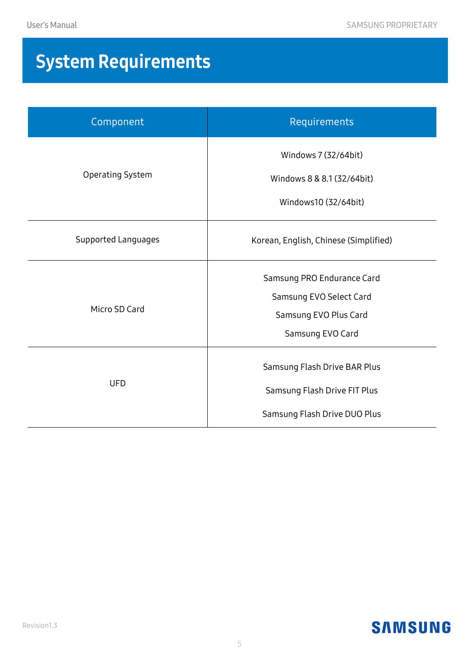# System Requirements

| Component           | Requirements                                                                                       |
|---------------------|----------------------------------------------------------------------------------------------------|
| Operating System    | Windows 7 (32/64bit)<br>Windows 8 & 8.1 (32/64bit)<br>Windows10 (32/64bit)                         |
| Supported Languages | Korean, English, Chinese (Simplified)                                                              |
| Micro SD Card       | Samsung PRO Endurance Card<br>Samsung EVO Select Card<br>Samsung EVO Plus Card<br>Samsung EVO Card |
| <b>UFD</b>          | Samsung Flash Drive BAR Plus<br>Samsung Flash Drive FIT Plus<br>Samsung Flash Drive DUO Plus       |